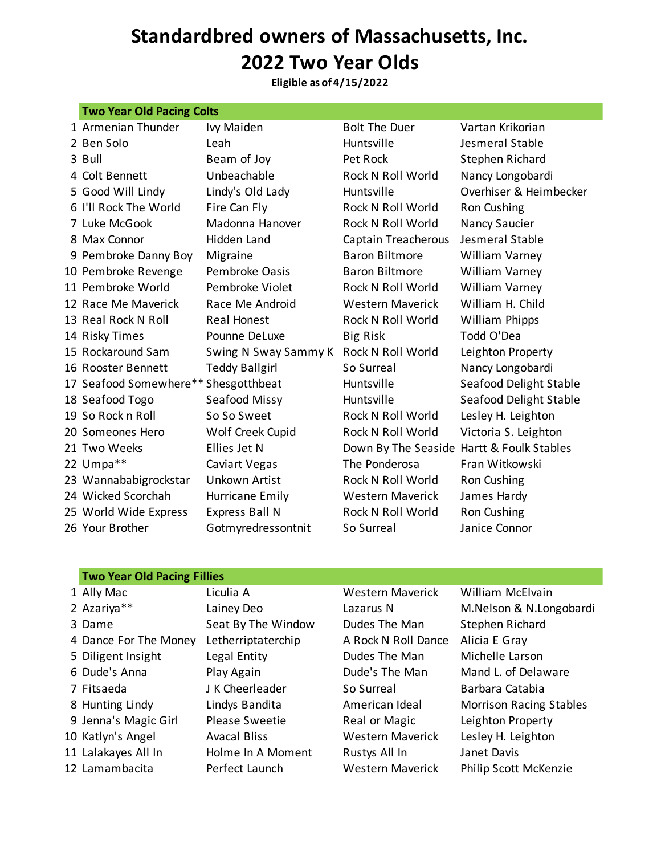## **Standardbred owners of Massachusetts, Inc. 2022 Two Year Olds**

**Eligible as of 4/15/2022**

| <b>Two Year Old Pacing Colts</b>     |                       |                                           |                        |  |
|--------------------------------------|-----------------------|-------------------------------------------|------------------------|--|
| 1 Armenian Thunder                   | Ivy Maiden            | <b>Bolt The Duer</b>                      | Vartan Krikorian       |  |
| 2 Ben Solo                           | Leah                  | Huntsville                                | Jesmeral Stable        |  |
| 3 Bull                               | Beam of Joy           | Pet Rock                                  | Stephen Richard        |  |
| 4 Colt Bennett                       | Unbeachable           | Rock N Roll World                         | Nancy Longobardi       |  |
| 5 Good Will Lindy                    | Lindy's Old Lady      | Huntsville                                | Overhiser & Heimbecker |  |
| 6 I'll Rock The World                | Fire Can Fly          | Rock N Roll World                         | Ron Cushing            |  |
| 7 Luke McGook                        | Madonna Hanover       | Rock N Roll World                         | <b>Nancy Saucier</b>   |  |
| 8 Max Connor                         | Hidden Land           | Captain Treacherous                       | Jesmeral Stable        |  |
| 9 Pembroke Danny Boy                 | Migraine              | <b>Baron Biltmore</b>                     | William Varney         |  |
| 10 Pembroke Revenge                  | Pembroke Oasis        | <b>Baron Biltmore</b>                     | <b>William Varney</b>  |  |
| 11 Pembroke World                    | Pembroke Violet       | Rock N Roll World                         | William Varney         |  |
| 12 Race Me Maverick                  | Race Me Android       | <b>Western Maverick</b>                   | William H. Child       |  |
| 13 Real Rock N Roll                  | Real Honest           | Rock N Roll World                         | William Phipps         |  |
| 14 Risky Times                       | Pounne DeLuxe         | <b>Big Risk</b>                           | Todd O'Dea             |  |
| 15 Rockaround Sam                    | Swing N Sway Sammy K  | Rock N Roll World                         | Leighton Property      |  |
| 16 Rooster Bennett                   | <b>Teddy Ballgirl</b> | So Surreal                                | Nancy Longobardi       |  |
| 17 Seafood Somewhere** Shesgotthbeat |                       | Huntsville                                | Seafood Delight Stable |  |
| 18 Seafood Togo                      | Seafood Missy         | Huntsville                                | Seafood Delight Stable |  |
| 19 So Rock n Roll                    | So So Sweet           | Rock N Roll World                         | Lesley H. Leighton     |  |
| 20 Someones Hero                     | Wolf Creek Cupid      | Rock N Roll World                         | Victoria S. Leighton   |  |
| 21 Two Weeks                         | Ellies Jet N          | Down By The Seaside Hartt & Foulk Stables |                        |  |
| 22 Umpa**                            | Caviart Vegas         | The Ponderosa                             | Fran Witkowski         |  |
| 23 Wannababigrockstar                | Unkown Artist         | Rock N Roll World                         | Ron Cushing            |  |
| 24 Wicked Scorchah                   | Hurricane Emily       | <b>Western Maverick</b>                   | James Hardy            |  |
| 25 World Wide Express                | <b>Express Ball N</b> | Rock N Roll World                         | Ron Cushing            |  |
| 26 Your Brother                      | Gotmyredressontnit    | So Surreal                                | Janice Connor          |  |

### **Two Year Old Pacing Fillies**

| 1 Ally Mac            | Liculia A           | <b>Western Maverick</b> | William McElvain          |
|-----------------------|---------------------|-------------------------|---------------------------|
| 2 Azariya**           | Lainey Deo          | Lazarus N               | M.Nelson & N.Lon          |
| 3 Dame                | Seat By The Window  | Dudes The Man           | Stephen Richard           |
| 4 Dance For The Money | Letherriptaterchip  | A Rock N Roll Dance     | Alicia E Gray             |
| 5 Diligent Insight    | Legal Entity        | Dudes The Man           | Michelle Larson           |
| 6 Dude's Anna         | Play Again          | Dude's The Man          | Mand L. of Delawa         |
| 7 Fitsaeda            | J K Cheerleader     | So Surreal              | Barbara Catabia           |
| 8 Hunting Lindy       | Lindys Bandita      | American Ideal          | Morrison Racing S         |
| 9 Jenna's Magic Girl  | Please Sweetie      | Real or Magic           | Leighton Property         |
| 10 Katlyn's Angel     | <b>Avacal Bliss</b> | <b>Western Maverick</b> | Lesley H. Leighton        |
| 11 Lalakayes All In   | Holme In A Moment   | Rustys All In           | Janet Davis               |
| 12 Lamambacita        | Perfect Launch      | <b>Western Maverick</b> | <b>Philip Scott McKen</b> |

ainey Deo Lazarus N M.Nelson & N.Longobardi lay Again **Example 2 Dude's The Man** Mand L. of Delaware indys Bandita **American Ideal** Morrison Racing Stables erfect Launch Western Maverick Philip Scott McKenzie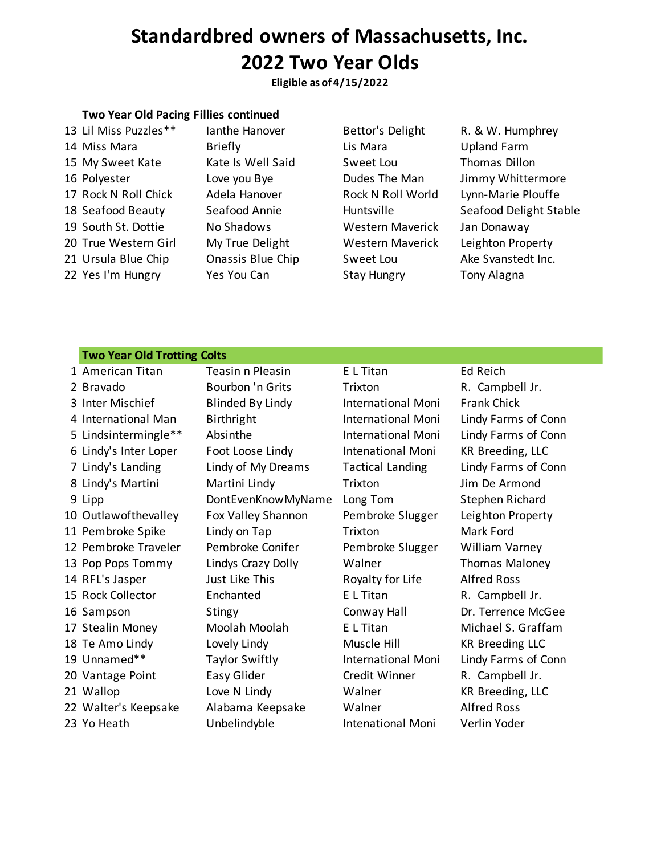## **Standardbred owners of Massachusetts, Inc. 2022 Two Year Olds**

**Eligible as of 4/15/2022**

#### **Two Year Old Pacing Fillies continued**

14 Miss Mara **Briefly Contains Lis Mara** Upland Farm 15 My Sweet Kate Kate Is Well Said Sweet Lou Thomas Dillon 17 Rock N Roll Chick Adela Hanover Rock N Roll World Lynn-Marie Plouffe 19 South St. Dottie Mo Shadows Mestern Maverick Jan Donaway 20 True Western Girl My True Delight Western Maverick Leighton Property 21 Ursula Blue Chip Chassis Blue Chip Sweet Lou Ake Svanstedt Inc. 22 Yes I'm Hungry Yes You Can Stay Hungry Tony Alagna

13 Lil Miss Puzzles\*\* Ianthe Hanover Bettor's Delight R. & W. Humphrey

16 Polyester **Love you Bye Dudes The Man** Jimmy Whittermore 18 Seafood Beauty Seafood Annie Huntsville Seafood Delight Stable

#### **Two Year Old Trotting Colts**

| 1 American Titan      | Teasin n Pleasin        | E L Titan                | Ed Reich               |
|-----------------------|-------------------------|--------------------------|------------------------|
| 2 Bravado             | Bourbon 'n Grits        | Trixton                  | R. Campbell Jr.        |
| 3 Inter Mischief      | <b>Blinded By Lindy</b> | International Moni       | <b>Frank Chick</b>     |
| 4 International Man   | Birthright              | International Moni       | Lindy Farms of Conn    |
| 5 Lindsintermingle**  | Absinthe                | International Moni       | Lindy Farms of Conn    |
| 6 Lindy's Inter Loper | Foot Loose Lindy        | Intenational Moni        | KR Breeding, LLC       |
| 7 Lindy's Landing     | Lindy of My Dreams      | <b>Tactical Landing</b>  | Lindy Farms of Conn    |
| 8 Lindy's Martini     | Martini Lindy           | Trixton                  | Jim De Armond          |
| 9 Lipp                | DontEvenKnowMyName      | Long Tom                 | Stephen Richard        |
| 10 Outlawofthevalley  | Fox Valley Shannon      | Pembroke Slugger         | Leighton Property      |
| 11 Pembroke Spike     | Lindy on Tap            | Trixton                  | Mark Ford              |
| 12 Pembroke Traveler  | Pembroke Conifer        | Pembroke Slugger         | William Varney         |
| 13 Pop Pops Tommy     | Lindys Crazy Dolly      | Walner                   | <b>Thomas Maloney</b>  |
| 14 RFL's Jasper       | Just Like This          | Royalty for Life         | <b>Alfred Ross</b>     |
| 15 Rock Collector     | Enchanted               | E L Titan                | R. Campbell Jr.        |
| 16 Sampson            | Stingy                  | Conway Hall              | Dr. Terrence McGee     |
| 17 Stealin Money      | Moolah Moolah           | E L Titan                | Michael S. Graffam     |
| 18 Te Amo Lindy       | Lovely Lindy            | Muscle Hill              | <b>KR Breeding LLC</b> |
| 19 Unnamed**          | <b>Taylor Swiftly</b>   | International Moni       | Lindy Farms of Conn    |
| 20 Vantage Point      | Easy Glider             | Credit Winner            | R. Campbell Jr.        |
| 21 Wallop             | Love N Lindy            | Walner                   | KR Breeding, LLC       |
| 22 Walter's Keepsake  | Alabama Keepsake        | Walner                   | <b>Alfred Ross</b>     |
| 23 Yo Heath           | Unbelindyble            | <b>Intenational Moni</b> | Verlin Yoder           |